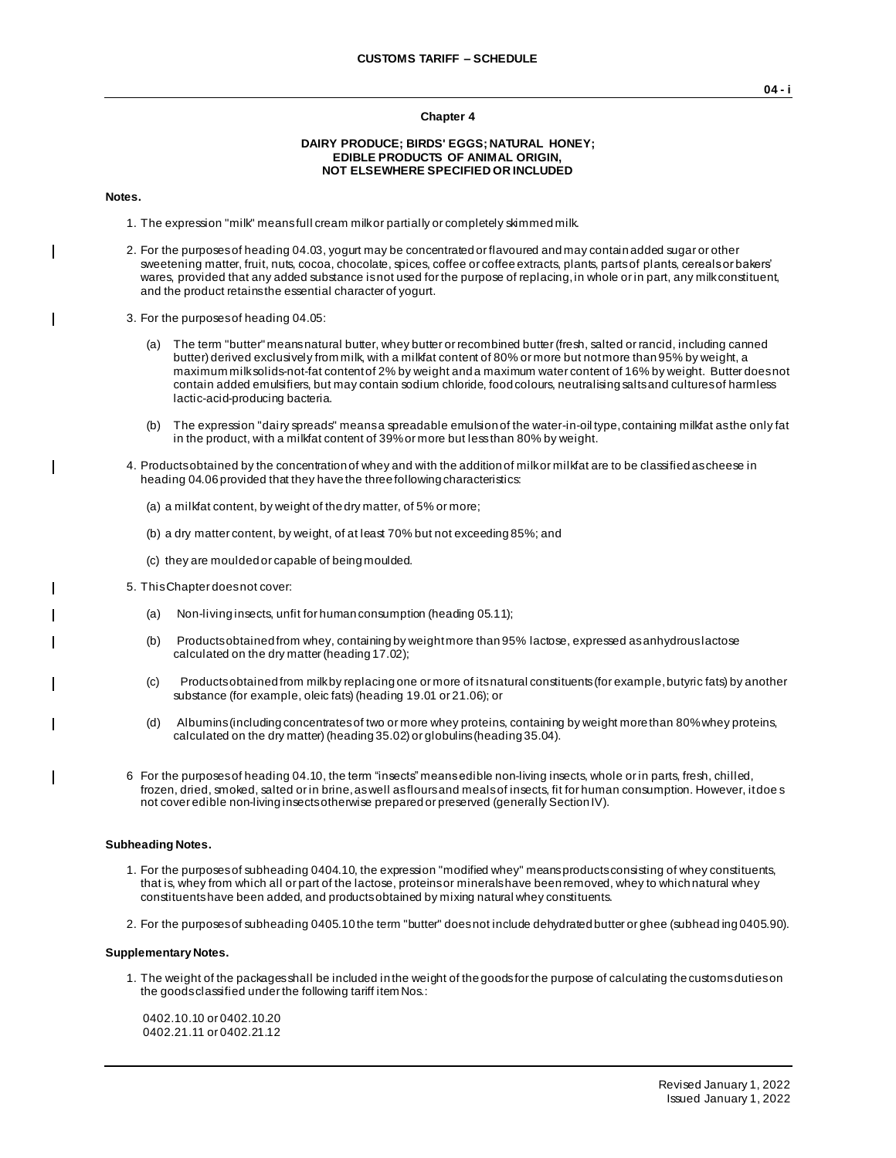### **Chapter 4**

## **DAIRY PRODUCE; BIRDS' EGGS; NATURAL HONEY; EDIBLE PRODUCTS OF ANIMAL ORIGIN, NOT ELSEWHERE SPECIFIED OR INCLUDED**

### **Notes.**

 $\overline{\phantom{a}}$ 

- 1. The expression "milk" means full cream milk or partially or completely skimmed milk.
- 2. For the purposes of heading 04.03, yogurt may be concentrated or flavoured and may contain added sugar or other sweetening matter, fruit, nuts, cocoa, chocolate, spices, coffee or coffee extracts, plants, parts of plants, cereals or bakers' wares, provided that any added substance is not used for the purpose of replacing, in whole or in part, any milk constituent, and the product retains the essential character of yogurt.
- 3. For the purposes of heading 04.05:
	- (a) The term "butter" means natural butter, whey butter or recombined butter (fresh, salted or rancid, including canned butter) derived exclusively from milk, with a milkfat content of 80% or more but not more than 95% by weight, a maximum milk solids-not-fat content of 2% by weight and a maximum water content of 16% by weight. Butter does not contain added emulsifiers, but may contain sodium chloride, food colours, neutralising salts and cultures of harmless lactic-acid-producing bacteria.
	- (b) The expression "dairy spreads" means a spreadable emulsion of the water-in-oil type, containing milkfat as the only fat in the product, with a milkfat content of 39% or more but less than 80% by weight.
- 4. Products obtained by the concentration of whey and with the addition of milk or milkfat are to be classified as cheese in heading 04.06 provided that they have the three following characteristics:
	- (a) a milkfat content, by weight of the dry matter, of 5% or more;
	- (b) a dry matter content, by weight, of at least 70% but not exceeding 85%; and
	- (c) they are moulded or capable of being moulded.
- 5. This Chapter does not cover:
	- (a) Non-living insects, unfit for human consumption (heading 05.11);
	- (b) Products obtained from whey, containing by weight more than 95% lactose, expressed as anhydrous lactose calculated on the dry matter (heading 17.02);
	- (c) Products obtained from milk by replacing one or more of its natural constituents (for example, butyric fats) by another substance (for example, oleic fats) (heading 19.01 or 21.06); or
	- (d) Albumins (including concentrates of two or more whey proteins, containing by weight more than 80% whey proteins, calculated on the dry matter) (heading 35.02) or globulins (heading 35.04).
- 6 For the purposes of heading 04.10, the term "insects" means edible non-living insects, whole or in parts, fresh, chilled, frozen, dried, smoked, salted or in brine, as well as flours and meals of insects, fit for human consumption. However, it doe s not cover edible non-living insects otherwise prepared or preserved (generally Section IV).

### **Subheading Notes.**

- 1. For the purposes of subheading 0404.10, the expression "modified whey" means products consisting of whey constituents, that is, whey from which all or part of the lactose, proteins or minerals have been removed, whey to which natural whey constituents have been added, and products obtained by mixing natural whey constituents.
- 2. For the purposes of subheading 0405.10 the term "butter" does not include dehydrated butter or ghee (subhead ing 0405.90).

#### **Supplementary Notes.**

1. The weight of the packages shall be included in the weight of the goods for the purpose of calculating the customs duties on the goods classified under the following tariff item Nos.:

0402.10.10 or 0402.10.20 0402.21.11 or 0402.21.12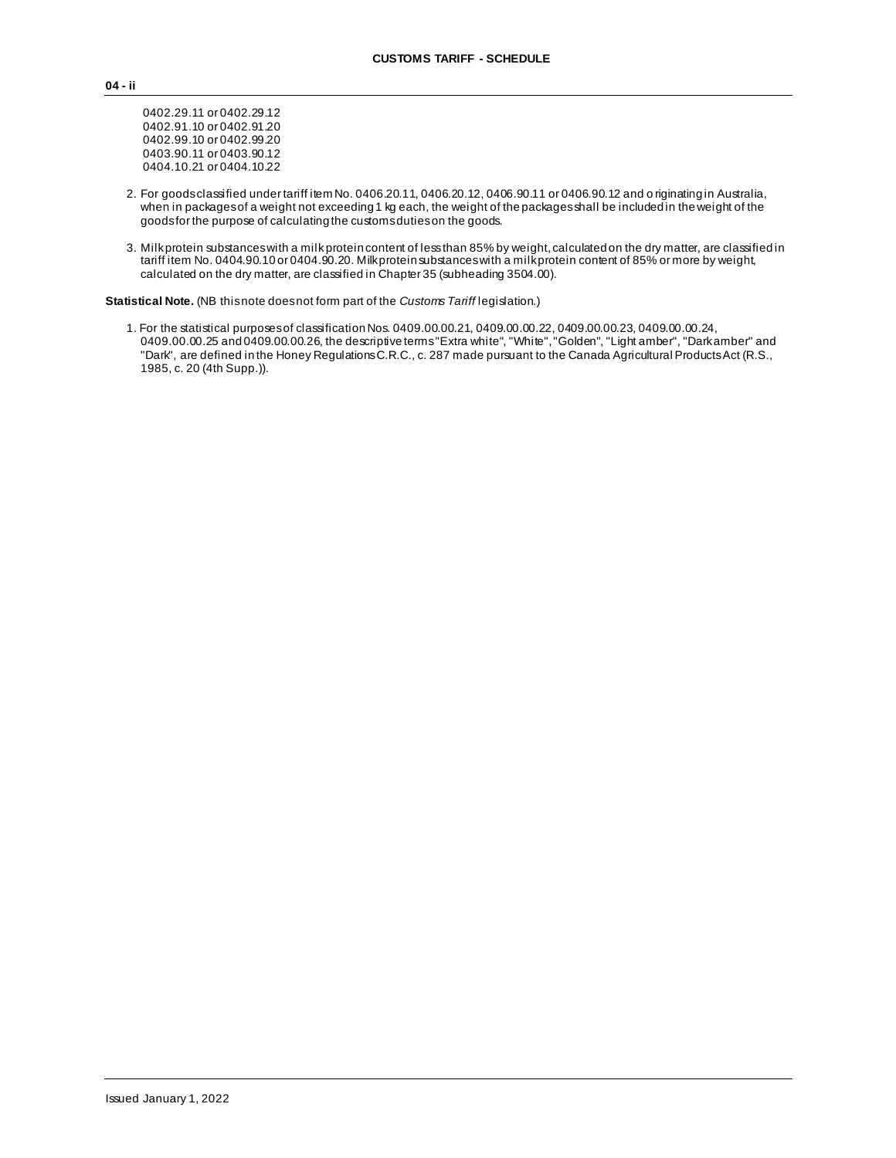0402.29.11 or 0402.29.12 0402.91.10 or 0402.91.20 0402.99.10 or 0402.99.20 0403.90.11 or 0403.90.12 0404.10.21 or 0404.10.22

- 2. For goods classified under tariff item No. 0406.20.11, 0406.20.12, 0406.90.11 or 0406.90.12 and o riginating in Australia, when in packages of a weight not exceeding 1 kg each, the weight of the packages shall be included in the weight of the goods for the purpose of calculating the customs duties on the goods.
- 3. Milk protein substances with a milk protein content of less than 85% by weight, calculated on the dry matter, are classified in tariff item No. 0404.90.10 or 0404.90.20. Milk protein substances with a milk protein content of 85% or more by weight, calculated on the dry matter, are classified in Chapter 35 (subheading 3504.00).

**Statistical Note.** (NB this note does not form part of the *Customs Tariff* legislation.)

1. For the statistical purposes of classification Nos. 0409.00.00.21, 0409.00.00.22, 0409.00.00.23, 0409.00.00.24, 0409.00.00.25 and 0409.00.00.26, the descriptive terms "Extra white", "White", "Golden", "Light amber", "Dark amber" and "Dark", are defined in the Honey Regulations C.R.C., c. 287 made pursuant to the Canada Agricultural Products Act (R.S., 1985, c. 20 (4th Supp.)).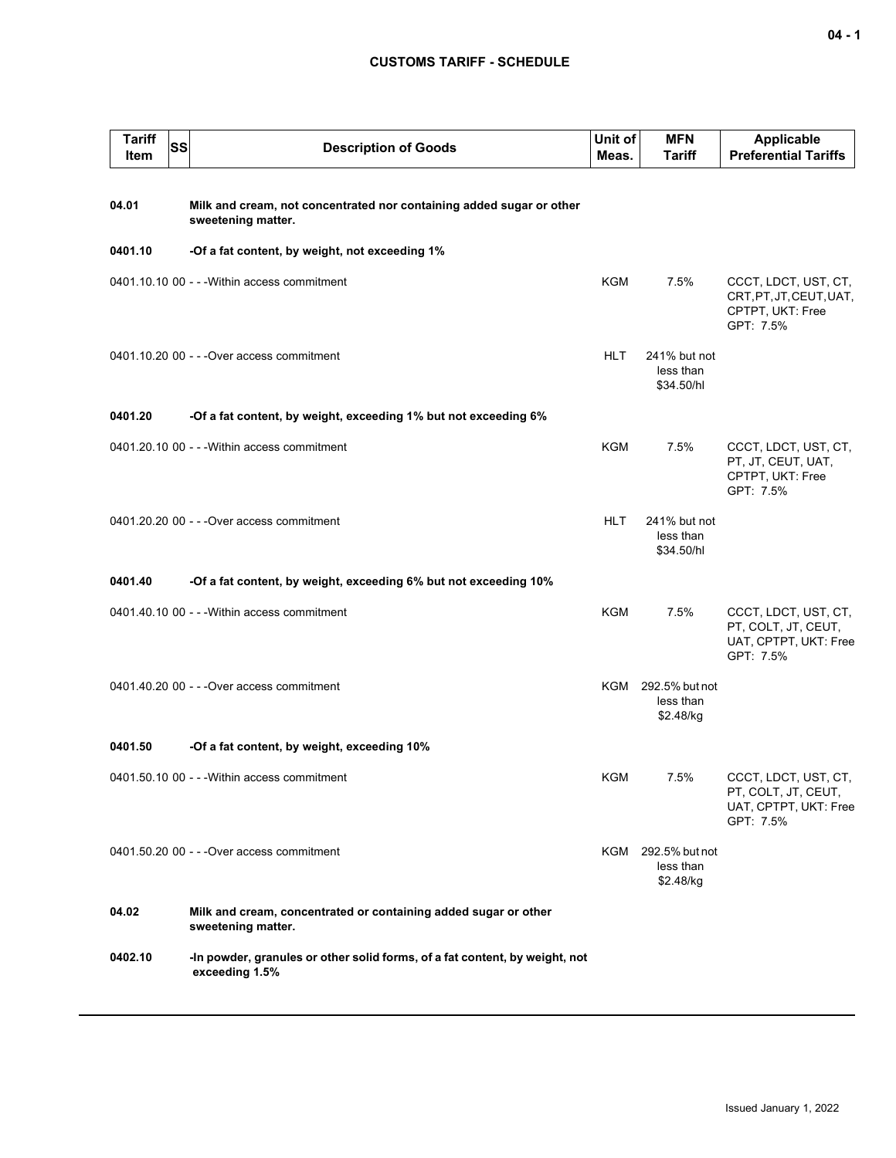| <b>Tariff</b><br><b>SS</b><br>Item | <b>Description of Goods</b>                                                                   | Unit of<br>Meas. | <b>MFN</b><br><b>Tariff</b>                  | <b>Applicable</b><br><b>Preferential Tariffs</b>                                  |
|------------------------------------|-----------------------------------------------------------------------------------------------|------------------|----------------------------------------------|-----------------------------------------------------------------------------------|
| 04.01                              | Milk and cream, not concentrated nor containing added sugar or other<br>sweetening matter.    |                  |                                              |                                                                                   |
| 0401.10                            | -Of a fat content, by weight, not exceeding 1%                                                |                  |                                              |                                                                                   |
|                                    | 0401.10.10 00 - - - Within access commitment                                                  | KGM              | 7.5%                                         | CCCT, LDCT, UST, CT,<br>CRT, PT, JT, CEUT, UAT,<br>CPTPT, UKT: Free<br>GPT: 7.5%  |
|                                    | 0401.10.20 00 - - - Over access commitment                                                    | <b>HLT</b>       | 241% but not<br>less than<br>\$34.50/hl      |                                                                                   |
| 0401.20                            | -Of a fat content, by weight, exceeding 1% but not exceeding 6%                               |                  |                                              |                                                                                   |
|                                    | 0401.20.10 00 - - - Within access commitment                                                  | <b>KGM</b>       | 7.5%                                         | CCCT, LDCT, UST, CT,<br>PT, JT, CEUT, UAT,<br>CPTPT, UKT: Free<br>GPT: 7.5%       |
|                                    | 0401.20.20 00 - - - Over access commitment                                                    | <b>HLT</b>       | 241% but not<br>less than<br>\$34.50/hl      |                                                                                   |
| 0401.40                            | -Of a fat content, by weight, exceeding 6% but not exceeding 10%                              |                  |                                              |                                                                                   |
|                                    | 0401.40.10 00 - - - Within access commitment                                                  | KGM              | 7.5%                                         | CCCT, LDCT, UST, CT,<br>PT, COLT, JT, CEUT,<br>UAT, CPTPT, UKT: Free<br>GPT: 7.5% |
|                                    | 0401.40.20 00 - - - Over access commitment                                                    |                  | KGM 292.5% but not<br>less than<br>\$2.48/kg |                                                                                   |
| 0401.50                            | -Of a fat content, by weight, exceeding 10%                                                   |                  |                                              |                                                                                   |
|                                    | 0401.50.10 00 - - - Within access commitment                                                  | KGM              | 7.5%                                         | CCCT, LDCT, UST, CT,<br>PT, COLT, JT, CEUT,<br>UAT, CPTPT, UKT: Free<br>GPT: 7.5% |
|                                    | 0401.50.20 00 - - - Over access commitment                                                    |                  | KGM 292.5% but not<br>less than<br>\$2.48/kg |                                                                                   |
| 04.02                              | Milk and cream, concentrated or containing added sugar or other<br>sweetening matter.         |                  |                                              |                                                                                   |
| 0402.10                            | -In powder, granules or other solid forms, of a fat content, by weight, not<br>exceeding 1.5% |                  |                                              |                                                                                   |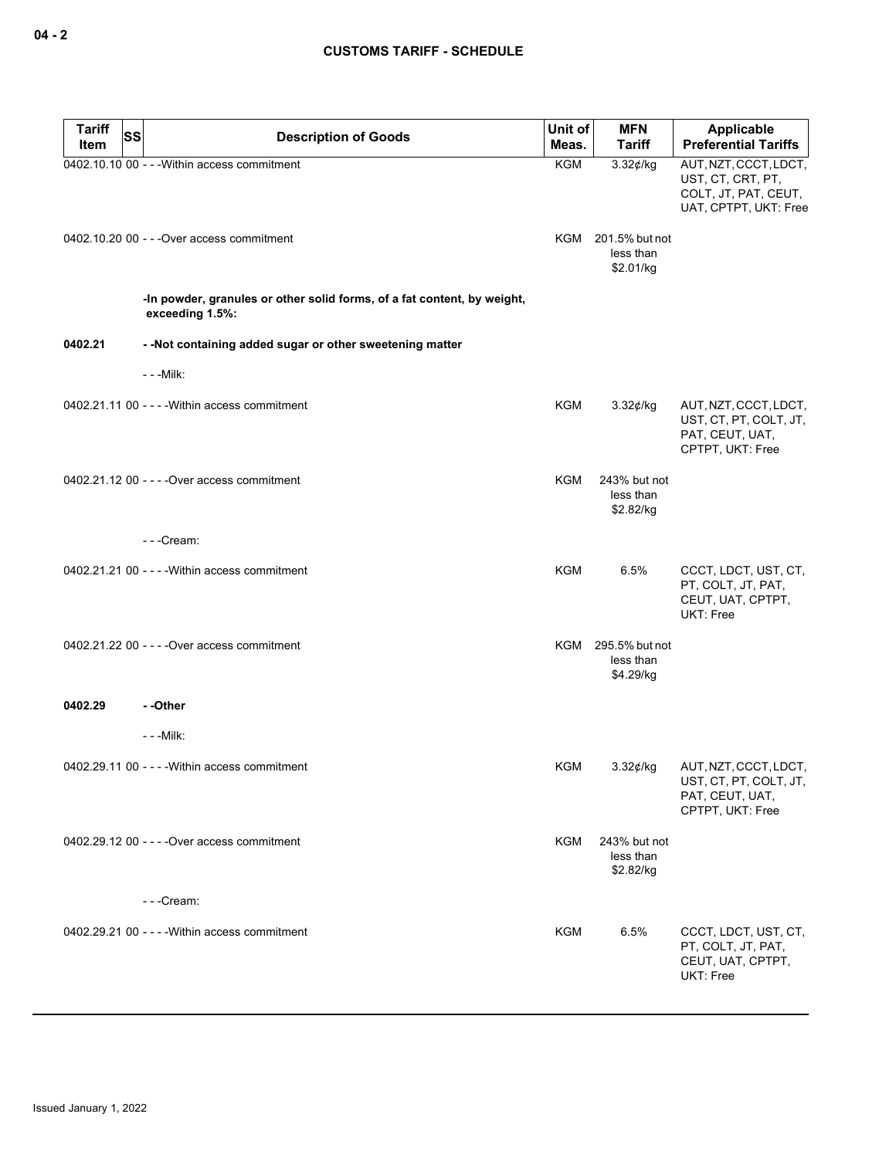| <b>Tariff</b> | SS<br><b>Description of Goods</b>                                                          | Unit of    | <b>MFN</b>                                   | <b>Applicable</b>                                                                           |
|---------------|--------------------------------------------------------------------------------------------|------------|----------------------------------------------|---------------------------------------------------------------------------------------------|
| Item          |                                                                                            | Meas.      | <b>Tariff</b>                                | <b>Preferential Tariffs</b>                                                                 |
|               | 0402.10.10 00 - - - Within access commitment                                               | <b>KGM</b> | $3.32$ ¢/kg                                  | AUT, NZT, CCCT, LDCT,<br>UST, CT, CRT, PT,<br>COLT, JT, PAT, CEUT,<br>UAT, CPTPT, UKT: Free |
|               | 0402.10.20 00 - - - Over access commitment                                                 |            | KGM 201.5% but not<br>less than<br>\$2.01/kg |                                                                                             |
|               | -In powder, granules or other solid forms, of a fat content, by weight,<br>exceeding 1.5%: |            |                                              |                                                                                             |
| 0402.21       | - - Not containing added sugar or other sweetening matter                                  |            |                                              |                                                                                             |
|               | - - - Milk:                                                                                |            |                                              |                                                                                             |
|               | 0402.21.11 00 - - - - Within access commitment                                             | KGM        | $3.32$ ¢/kg                                  | AUT, NZT, CCCT, LDCT,<br>UST, CT, PT, COLT, JT,<br>PAT, CEUT, UAT,<br>CPTPT, UKT: Free      |
|               | 0402.21.12 00 - - - - Over access commitment                                               | KGM        | 243% but not<br>less than<br>\$2.82/kg       |                                                                                             |
|               | ---Cream:                                                                                  |            |                                              |                                                                                             |
|               | 0402.21.21 00 - - - - Within access commitment                                             | <b>KGM</b> | 6.5%                                         | CCCT, LDCT, UST, CT,<br>PT, COLT, JT, PAT,<br>CEUT, UAT, CPTPT,<br>UKT: Free                |
|               | 0402.21.22 00 - - - - Over access commitment                                               |            | KGM 295.5% but not<br>less than<br>\$4.29/kg |                                                                                             |
| 0402.29       | --Other                                                                                    |            |                                              |                                                                                             |
|               | $- -$ Milk:                                                                                |            |                                              |                                                                                             |
|               | 0402.29.11 00 - - - - Within access commitment                                             | KGM        | $3.32$ ¢/kg                                  | AUT, NZT, CCCT, LDCT,<br>UST, CT, PT, COLT, JT,<br>PAT, CEUT, UAT,<br>CPTPT, UKT: Free      |
|               | 0402.29.12 00 - - - - Over access commitment<br>---Cream:                                  | KGM        | 243% but not<br>less than<br>\$2.82/kg       |                                                                                             |
|               |                                                                                            |            |                                              |                                                                                             |
|               | 0402.29.21 00 - - - - Within access commitment                                             | KGM        | 6.5%                                         | CCCT, LDCT, UST, CT,<br>PT, COLT, JT, PAT,<br>CEUT, UAT, CPTPT,<br>UKT: Free                |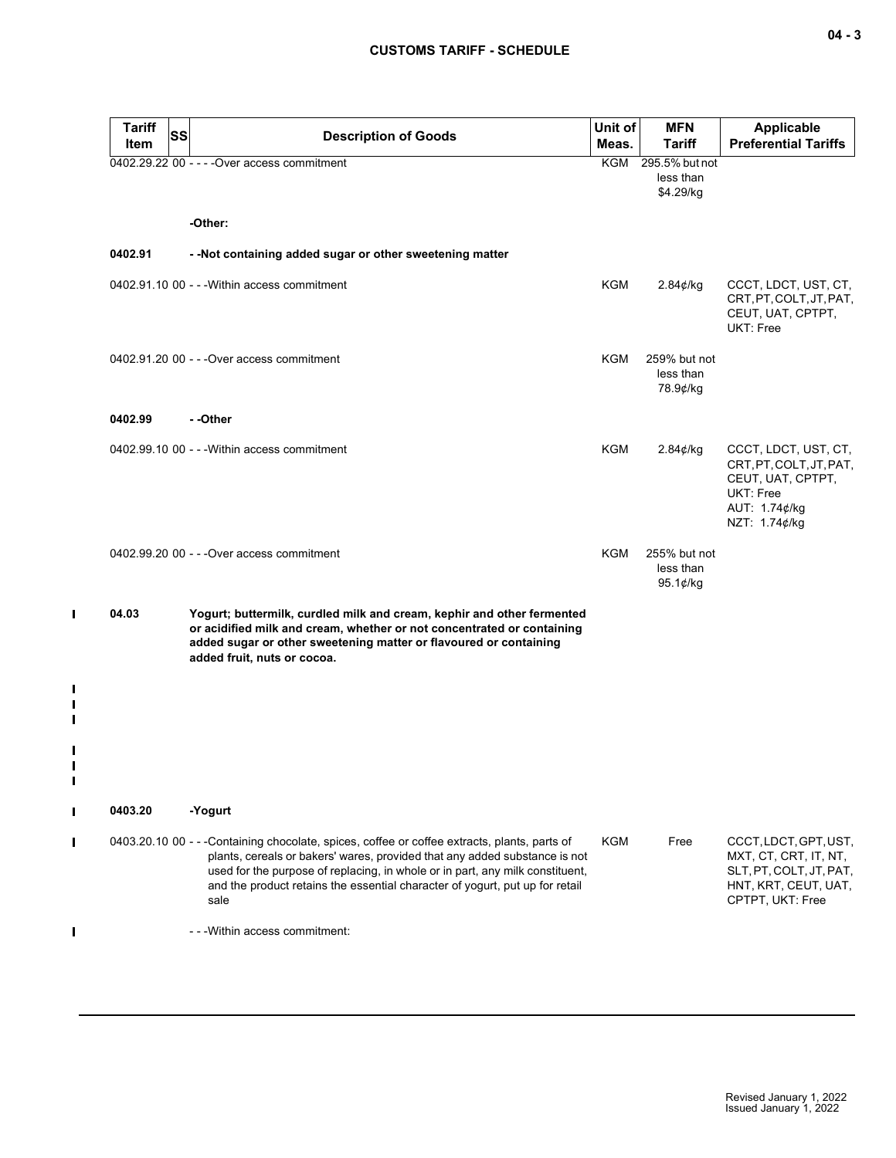| Tariff<br>Item | <b>SS</b> | <b>Description of Goods</b>                                                                                                                                                                                                                                                                                                                         | Unit of<br>Meas. | <b>MFN</b><br><b>Tariff</b>               | <b>Applicable</b><br><b>Preferential Tariffs</b>                                                                      |
|----------------|-----------|-----------------------------------------------------------------------------------------------------------------------------------------------------------------------------------------------------------------------------------------------------------------------------------------------------------------------------------------------------|------------------|-------------------------------------------|-----------------------------------------------------------------------------------------------------------------------|
|                |           | 0402.29.22 00 - - - - Over access commitment                                                                                                                                                                                                                                                                                                        | KGM              | 295.5% but not<br>less than<br>\$4.29/kg  |                                                                                                                       |
|                |           | -Other:                                                                                                                                                                                                                                                                                                                                             |                  |                                           |                                                                                                                       |
| 0402.91        |           | - - Not containing added sugar or other sweetening matter                                                                                                                                                                                                                                                                                           |                  |                                           |                                                                                                                       |
|                |           | 0402.91.10 00 - - - Within access commitment                                                                                                                                                                                                                                                                                                        | KGM              | 2.84¢/kg                                  | CCCT, LDCT, UST, CT,<br>CRT, PT, COLT, JT, PAT,<br>CEUT, UAT, CPTPT,<br>UKT: Free                                     |
|                |           | 0402.91.20 00 - - - Over access commitment                                                                                                                                                                                                                                                                                                          | KGM              | 259% but not<br>less than<br>78.9¢/kg     |                                                                                                                       |
| 0402.99        |           | - -Other                                                                                                                                                                                                                                                                                                                                            |                  |                                           |                                                                                                                       |
|                |           | 0402.99.10 00 - - - Within access commitment                                                                                                                                                                                                                                                                                                        | KGM              | 2.84¢/kg                                  | CCCT, LDCT, UST, CT,<br>CRT, PT, COLT, JT, PAT,<br>CEUT, UAT, CPTPT,<br>UKT: Free<br>AUT: 1.74¢/kg<br>NZT: 1.74¢/kg   |
|                |           | 0402.99.20 00 - - - Over access commitment                                                                                                                                                                                                                                                                                                          | KGM              | 255% but not<br>less than<br>95.1 $¢$ /kg |                                                                                                                       |
| 04.03          |           | Yogurt; buttermilk, curdled milk and cream, kephir and other fermented<br>or acidified milk and cream, whether or not concentrated or containing<br>added sugar or other sweetening matter or flavoured or containing<br>added fruit, nuts or cocoa.                                                                                                |                  |                                           |                                                                                                                       |
|                |           |                                                                                                                                                                                                                                                                                                                                                     |                  |                                           |                                                                                                                       |
| 0403.20        |           | -Yogurt                                                                                                                                                                                                                                                                                                                                             |                  |                                           |                                                                                                                       |
|                |           | 0403.20.10 00 - - -Containing chocolate, spices, coffee or coffee extracts, plants, parts of<br>plants, cereals or bakers' wares, provided that any added substance is not<br>used for the purpose of replacing, in whole or in part, any milk constituent,<br>and the product retains the essential character of yogurt, put up for retail<br>sale | KGM              | Free                                      | CCCT, LDCT, GPT, UST,<br>MXT, CT, CRT, IT, NT,<br>SLT, PT, COLT, JT, PAT,<br>HNT, KRT, CEUT, UAT,<br>CPTPT, UKT: Free |
|                |           | - - - Within access commitment:                                                                                                                                                                                                                                                                                                                     |                  |                                           |                                                                                                                       |

 $\blacksquare$ 

 $\mathbf{I}$  $\mathbf{I}$  $\blacksquare$ 

 $\mathbf{I}$  $\mathbf{I}$  $\mathbf{I}$ 

 $\mathbf{I}$ 

 $\blacksquare$ 

 $\mathbf I$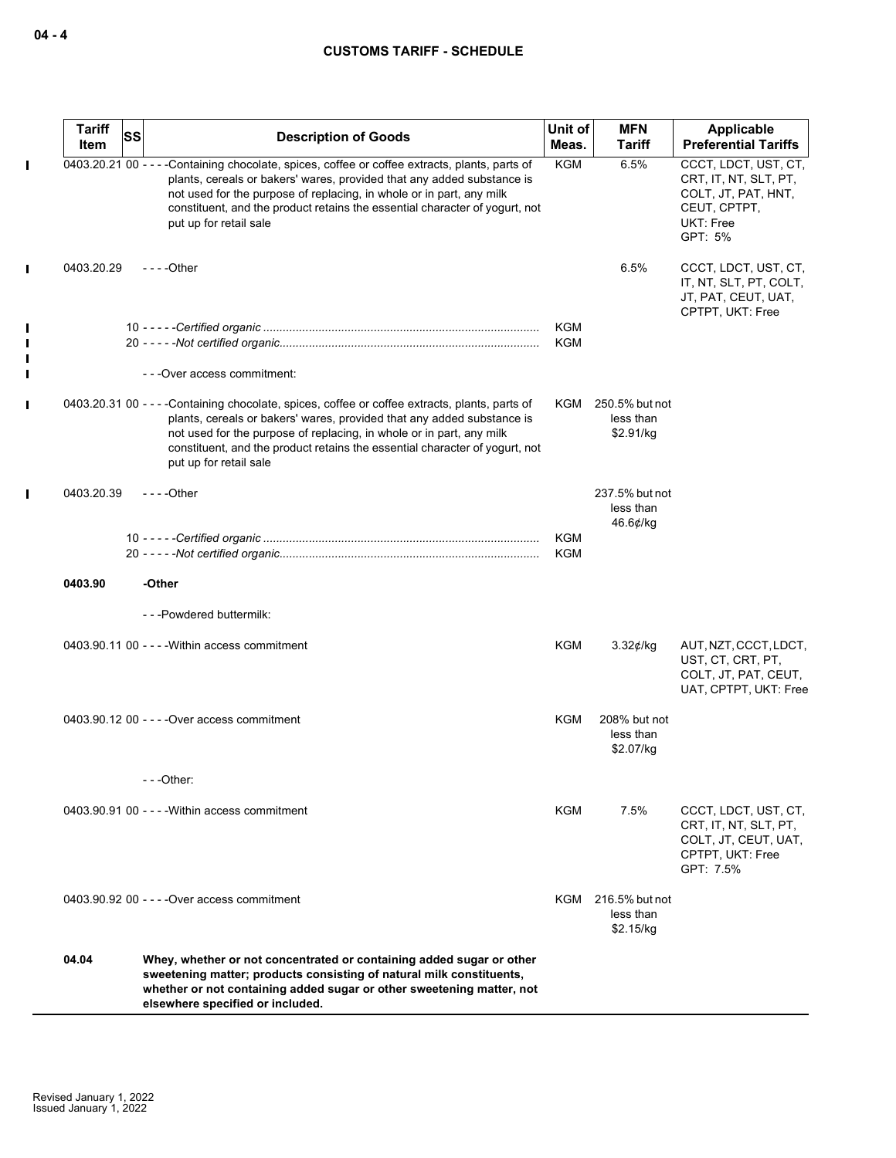| <b>Tariff</b><br><b>Item</b> | <b>SS</b> | <b>Description of Goods</b>                                                                                                                                                                                                                                                                                                                                | Unit of<br>Meas.  | <b>MFN</b><br>Tariff                         | Applicable<br><b>Preferential Tariffs</b>                                                                    |
|------------------------------|-----------|------------------------------------------------------------------------------------------------------------------------------------------------------------------------------------------------------------------------------------------------------------------------------------------------------------------------------------------------------------|-------------------|----------------------------------------------|--------------------------------------------------------------------------------------------------------------|
|                              |           | 0403.20.21 00 - - - -Containing chocolate, spices, coffee or coffee extracts, plants, parts of<br>plants, cereals or bakers' wares, provided that any added substance is<br>not used for the purpose of replacing, in whole or in part, any milk<br>constituent, and the product retains the essential character of yogurt, not<br>put up for retail sale  | <b>KGM</b>        | 6.5%                                         | CCCT, LDCT, UST, CT,<br>CRT, IT, NT, SLT, PT,<br>COLT, JT, PAT, HNT,<br>CEUT, CPTPT,<br>UKT: Free<br>GPT: 5% |
| 0403.20.29                   |           | $--$ Other                                                                                                                                                                                                                                                                                                                                                 |                   | 6.5%                                         | CCCT, LDCT, UST, CT,<br>IT, NT, SLT, PT, COLT,<br>JT, PAT, CEUT, UAT,<br>CPTPT, UKT: Free                    |
|                              |           |                                                                                                                                                                                                                                                                                                                                                            | KGM<br><b>KGM</b> |                                              |                                                                                                              |
|                              |           | - - - Over access commitment:                                                                                                                                                                                                                                                                                                                              |                   |                                              |                                                                                                              |
|                              |           | 0403.20.31 00 - - - - Containing chocolate, spices, coffee or coffee extracts, plants, parts of<br>plants, cereals or bakers' wares, provided that any added substance is<br>not used for the purpose of replacing, in whole or in part, any milk<br>constituent, and the product retains the essential character of yogurt, not<br>put up for retail sale | KGM               | 250.5% but not<br>less than<br>\$2.91/kg     |                                                                                                              |
| 0403.20.39                   |           | $--$ - Other                                                                                                                                                                                                                                                                                                                                               |                   | 237.5% but not<br>less than<br>46.6¢/kg      |                                                                                                              |
|                              |           |                                                                                                                                                                                                                                                                                                                                                            | KGM<br>KGM        |                                              |                                                                                                              |
| 0403.90                      |           | -Other                                                                                                                                                                                                                                                                                                                                                     |                   |                                              |                                                                                                              |
|                              |           | ---Powdered buttermilk:                                                                                                                                                                                                                                                                                                                                    |                   |                                              |                                                                                                              |
|                              |           | 0403.90.11 00 - - - - Within access commitment                                                                                                                                                                                                                                                                                                             | <b>KGM</b>        | $3.32$ ¢/kg                                  | AUT, NZT, CCCT, LDCT,<br>UST, CT, CRT, PT,<br>COLT, JT, PAT, CEUT,<br>UAT, CPTPT, UKT: Free                  |
|                              |           | 0403.90.12 00 - - - - Over access commitment                                                                                                                                                                                                                                                                                                               | KGM               | 208% but not<br>less than<br>\$2.07/kg       |                                                                                                              |
|                              |           | $-$ - - Other:                                                                                                                                                                                                                                                                                                                                             |                   |                                              |                                                                                                              |
|                              |           | 0403.90.91 00 - - - - Within access commitment                                                                                                                                                                                                                                                                                                             | KGM               | 7.5%                                         | CCCT, LDCT, UST, CT,<br>CRT, IT, NT, SLT, PT,<br>COLT, JT, CEUT, UAT,<br>CPTPT, UKT: Free<br>GPT: 7.5%       |
|                              |           | 0403.90.92 00 - - - - Over access commitment                                                                                                                                                                                                                                                                                                               |                   | KGM 216.5% but not<br>less than<br>\$2.15/kg |                                                                                                              |
| 04.04                        |           | Whey, whether or not concentrated or containing added sugar or other<br>sweetening matter; products consisting of natural milk constituents,<br>whether or not containing added sugar or other sweetening matter, not<br>elsewhere specified or included.                                                                                                  |                   |                                              |                                                                                                              |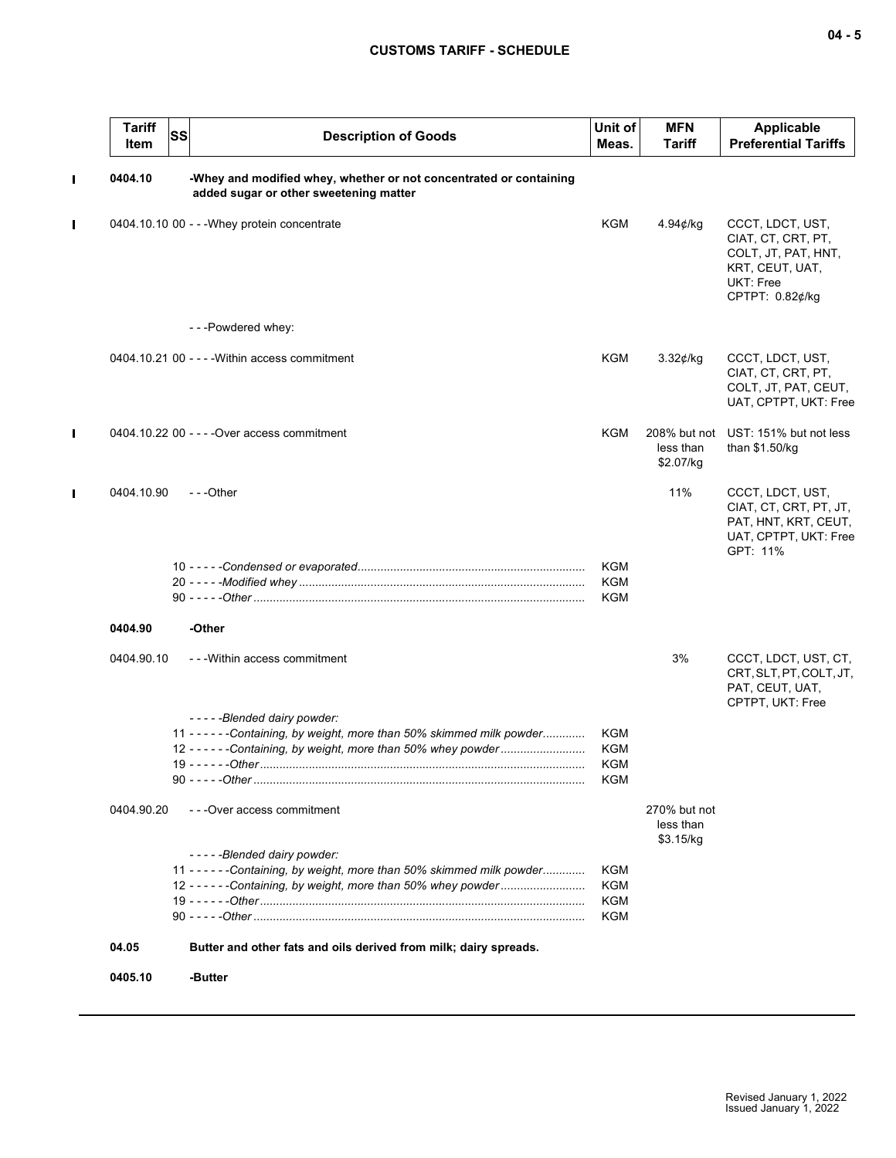| <b>Tariff</b><br><b>Item</b> | <b>SS</b> | <b>Description of Goods</b>                                                                                                                | Unit of<br>Meas.  | <b>MFN</b><br>Tariff                   | <b>Applicable</b><br><b>Preferential Tariffs</b>                                                                 |
|------------------------------|-----------|--------------------------------------------------------------------------------------------------------------------------------------------|-------------------|----------------------------------------|------------------------------------------------------------------------------------------------------------------|
| 0404.10                      |           | -Whey and modified whey, whether or not concentrated or containing<br>added sugar or other sweetening matter                               |                   |                                        |                                                                                                                  |
|                              |           | 0404.10.10 00 - - - Whey protein concentrate                                                                                               | <b>KGM</b>        | $4.94$ e/kg                            | CCCT, LDCT, UST,<br>CIAT, CT, CRT, PT,<br>COLT, JT, PAT, HNT,<br>KRT, CEUT, UAT,<br>UKT: Free<br>CPTPT: 0.82¢/kg |
|                              |           | ---Powdered whey:                                                                                                                          |                   |                                        |                                                                                                                  |
|                              |           | 0404.10.21 00 - - - - Within access commitment                                                                                             | KGM               | $3.32$ ¢/kg                            | CCCT, LDCT, UST,<br>CIAT, CT, CRT, PT,<br>COLT, JT, PAT, CEUT,<br>UAT, CPTPT, UKT: Free                          |
|                              |           | 0404.10.22 00 - - - - Over access commitment                                                                                               | KGM               | 208% but not<br>less than<br>\$2.07/kg | UST: 151% but not less<br>than \$1.50/kg                                                                         |
| 0404.10.90                   |           | $-$ - -Other                                                                                                                               |                   | 11%                                    | CCCT, LDCT, UST,<br>CIAT, CT, CRT, PT, JT,<br>PAT, HNT, KRT, CEUT,<br>UAT, CPTPT, UKT: Free<br>GPT: 11%          |
|                              |           |                                                                                                                                            | KGM<br><b>KGM</b> |                                        |                                                                                                                  |
|                              |           |                                                                                                                                            | KGM               |                                        |                                                                                                                  |
| 0404.90                      |           | -Other                                                                                                                                     |                   |                                        |                                                                                                                  |
| 0404.90.10                   |           | - - - Within access commitment                                                                                                             |                   | 3%                                     | CCCT, LDCT, UST, CT,<br>CRT, SLT, PT, COLT, JT,<br>PAT, CEUT, UAT,<br>CPTPT, UKT: Free                           |
|                              |           | -----Blended dairy powder:<br>11 - - - - - - Containing, by weight, more than 50% skimmed milk powder                                      | KGM               |                                        |                                                                                                                  |
|                              |           | 12 - - - - - - Containing, by weight, more than 50% whey powder                                                                            | KGM               |                                        |                                                                                                                  |
|                              |           |                                                                                                                                            | KGM<br>KGM        |                                        |                                                                                                                  |
| 0404.90.20                   |           | - - - Over access commitment                                                                                                               |                   | 270% but not<br>less than<br>\$3.15/kg |                                                                                                                  |
|                              |           | -----Blended dairy powder:                                                                                                                 |                   |                                        |                                                                                                                  |
|                              |           | 11 - - - - - - Containing, by weight, more than 50% skimmed milk powder<br>12 - - - - - - Containing, by weight, more than 50% whey powder | KGM<br><b>KGM</b> |                                        |                                                                                                                  |
|                              |           |                                                                                                                                            | <b>KGM</b>        |                                        |                                                                                                                  |
|                              |           |                                                                                                                                            | <b>KGM</b>        |                                        |                                                                                                                  |
| 04.05                        |           | Butter and other fats and oils derived from milk; dairy spreads.                                                                           |                   |                                        |                                                                                                                  |
| 0405.10                      |           | -Butter                                                                                                                                    |                   |                                        |                                                                                                                  |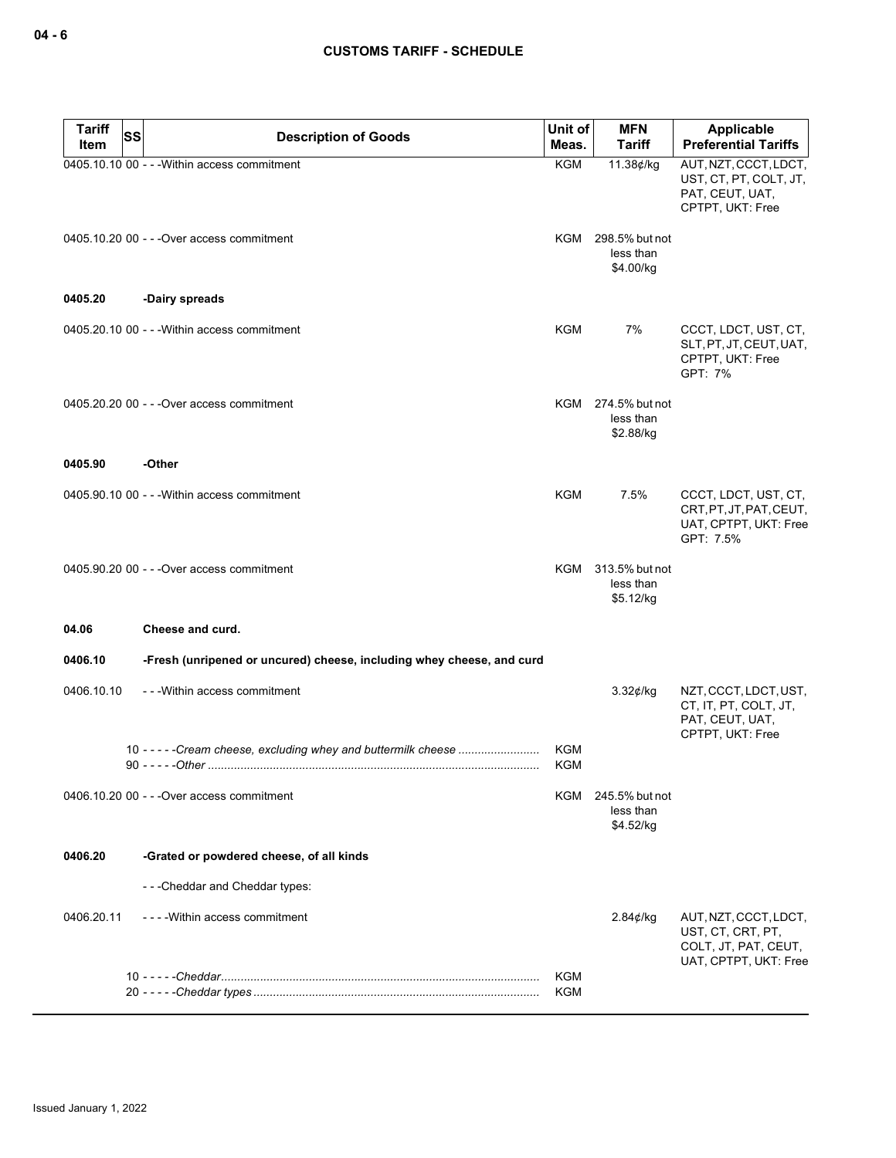| <b>Tariff</b> | <b>SS</b><br><b>Description of Goods</b>                              | Unit of                  | <b>MFN</b>                                   | <b>Applicable</b>                                                                           |
|---------------|-----------------------------------------------------------------------|--------------------------|----------------------------------------------|---------------------------------------------------------------------------------------------|
| Item          |                                                                       | Meas.                    | <b>Tariff</b>                                | <b>Preferential Tariffs</b>                                                                 |
|               | 0405.10.10 00 - - - Within access commitment                          | <b>KGM</b>               | 11.38¢/kg                                    | AUT, NZT, CCCT, LDCT,<br>UST, CT, PT, COLT, JT,<br>PAT, CEUT, UAT,<br>CPTPT, UKT: Free      |
|               | 0405.10.20 00 - - - Over access commitment                            |                          | KGM 298.5% but not<br>less than<br>\$4.00/kg |                                                                                             |
| 0405.20       | -Dairy spreads                                                        |                          |                                              |                                                                                             |
|               | 0405.20.10 00 - - - Within access commitment                          | KGM                      | 7%                                           | CCCT, LDCT, UST, CT,<br>SLT, PT, JT, CEUT, UAT,<br>CPTPT, UKT: Free<br>GPT: 7%              |
|               | 0405.20.20 00 - - - Over access commitment                            |                          | KGM 274.5% but not<br>less than<br>\$2.88/kg |                                                                                             |
| 0405.90       | -Other                                                                |                          |                                              |                                                                                             |
|               | 0405.90.10 00 - - - Within access commitment                          | <b>KGM</b>               | 7.5%                                         | CCCT, LDCT, UST, CT,<br>CRT.PT.JT.PAT.CEUT.<br>UAT, CPTPT, UKT: Free<br>GPT: 7.5%           |
|               | 0405.90.20 00 - - - Over access commitment                            |                          | KGM 313.5% but not<br>less than<br>\$5.12/kg |                                                                                             |
| 04.06         | Cheese and curd.                                                      |                          |                                              |                                                                                             |
| 0406.10       | -Fresh (unripened or uncured) cheese, including whey cheese, and curd |                          |                                              |                                                                                             |
| 0406.10.10    | - - - Within access commitment                                        |                          | 3.32¢/kg                                     | NZT, CCCT, LDCT, UST,<br>CT, IT, PT, COLT, JT,<br>PAT, CEUT, UAT,<br>CPTPT, UKT: Free       |
|               | 10 - - - - - Cream cheese, excluding whey and buttermilk cheese       | <b>KGM</b><br><b>KGM</b> |                                              |                                                                                             |
|               | 0406.10.20 00 - - - Over access commitment                            |                          | KGM 245.5% but not<br>less than<br>\$4.52/kg |                                                                                             |
| 0406.20       | -Grated or powdered cheese, of all kinds                              |                          |                                              |                                                                                             |
|               | ---Cheddar and Cheddar types:                                         |                          |                                              |                                                                                             |
| 0406.20.11    | - - - - Within access commitment                                      |                          | $2.84$ ¢/kg                                  | AUT, NZT, CCCT, LDCT,<br>UST, CT, CRT, PT,<br>COLT, JT, PAT, CEUT,<br>UAT, CPTPT, UKT: Free |
|               |                                                                       | <b>KGM</b>               |                                              |                                                                                             |
|               |                                                                       | KGM                      |                                              |                                                                                             |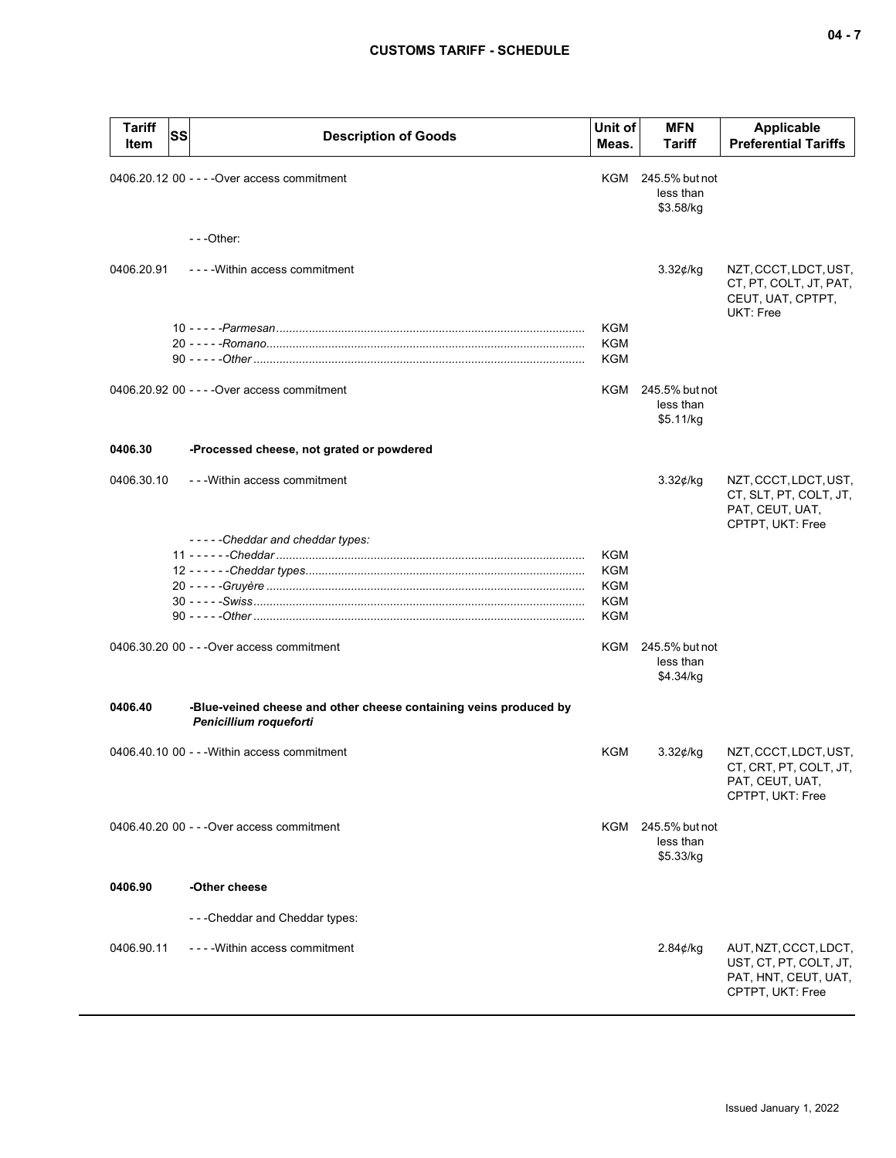| <b>Tariff</b><br>Item | SS | <b>Description of Goods</b>                                                                 | Unit of<br>Meas. | <b>MFN</b><br><b>Tariff</b>                  | <b>Applicable</b><br><b>Preferential Tariffs</b>                                            |
|-----------------------|----|---------------------------------------------------------------------------------------------|------------------|----------------------------------------------|---------------------------------------------------------------------------------------------|
|                       |    | 0406.20.12 00 - - - - Over access commitment                                                |                  | KGM 245.5% but not<br>less than<br>\$3.58/kg |                                                                                             |
|                       |    | $-$ - -Other:                                                                               |                  |                                              |                                                                                             |
| 0406.20.91            |    | ----Within access commitment                                                                |                  | $3.32$ ¢/kg                                  | NZT, CCCT, LDCT, UST,<br>CT, PT, COLT, JT, PAT,<br>CEUT, UAT, CPTPT,<br>UKT: Free           |
|                       |    |                                                                                             | KGM              |                                              |                                                                                             |
|                       |    |                                                                                             | KGM<br>KGM       |                                              |                                                                                             |
|                       |    |                                                                                             |                  |                                              |                                                                                             |
|                       |    | 0406.20.92 00 - - - - Over access commitment                                                |                  | KGM 245.5% but not<br>less than<br>\$5.11/kg |                                                                                             |
| 0406.30               |    | -Processed cheese, not grated or powdered                                                   |                  |                                              |                                                                                             |
| 0406.30.10            |    | --- Within access commitment                                                                |                  | $3.32$ ¢/kg                                  | NZT, CCCT, LDCT, UST,<br>CT, SLT, PT, COLT, JT,<br>PAT, CEUT, UAT,<br>CPTPT, UKT: Free      |
|                       |    | -----Cheddar and cheddar types:                                                             |                  |                                              |                                                                                             |
|                       |    |                                                                                             | KGM<br>KGM       |                                              |                                                                                             |
|                       |    |                                                                                             | KGM              |                                              |                                                                                             |
|                       |    |                                                                                             | <b>KGM</b>       |                                              |                                                                                             |
|                       |    |                                                                                             | KGM              |                                              |                                                                                             |
|                       |    | 0406.30.20 00 - - - Over access commitment                                                  | KGM              | 245.5% but not<br>less than<br>\$4.34/kg     |                                                                                             |
| 0406.40               |    | -Blue-veined cheese and other cheese containing veins produced by<br>Penicillium roqueforti |                  |                                              |                                                                                             |
|                       |    | 0406.40.10 00 - - - Within access commitment                                                | KGM              | $3.32$ ¢/kg                                  | NZT, CCCT, LDCT, UST,<br>CT, CRT, PT, COLT, JT,<br>PAT, CEUT, UAT,<br>CPTPT, UKT: Free      |
|                       |    | 0406.40.20 00 - - - Over access commitment                                                  |                  | KGM 245.5% but not<br>less than<br>\$5.33/kg |                                                                                             |
| 0406.90               |    | -Other cheese                                                                               |                  |                                              |                                                                                             |
|                       |    | - - - Cheddar and Cheddar types:                                                            |                  |                                              |                                                                                             |
|                       |    | - - - - Within access commitment                                                            |                  |                                              |                                                                                             |
| 0406.90.11            |    |                                                                                             |                  | 2.84¢/kg                                     | AUT, NZT, CCCT, LDCT,<br>UST, CT, PT, COLT, JT,<br>PAT, HNT, CEUT, UAT,<br>CPTPT, UKT: Free |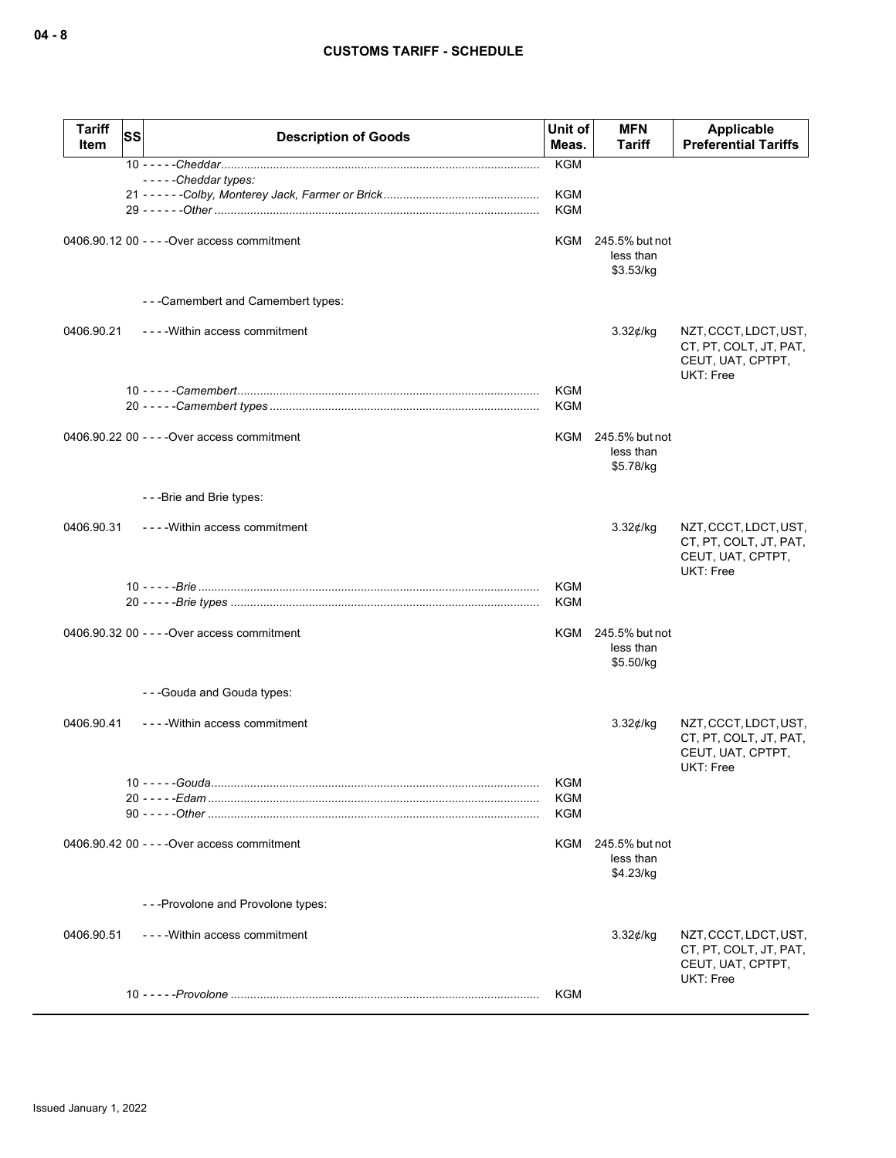| <b>Tariff</b><br>Item | SS | <b>Description of Goods</b>                  | Unit of<br>Meas.                | <b>MFN</b><br>Tariff                     | <b>Applicable</b><br><b>Preferential Tariffs</b>                                  |
|-----------------------|----|----------------------------------------------|---------------------------------|------------------------------------------|-----------------------------------------------------------------------------------|
|                       |    |                                              | <b>KGM</b>                      |                                          |                                                                                   |
|                       |    | $---$ Cheddartypes:                          | <b>KGM</b><br><b>KGM</b>        |                                          |                                                                                   |
|                       |    | 0406.90.12 00 - - - - Over access commitment | KGM                             | 245.5% but not<br>less than<br>\$3.53/kg |                                                                                   |
|                       |    | ---Camembert and Camembert types:            |                                 |                                          |                                                                                   |
| 0406.90.21            |    | - - - - Within access commitment             |                                 | 3.32¢/kg                                 | NZT, CCCT, LDCT, UST,<br>CT, PT, COLT, JT, PAT,<br>CEUT, UAT, CPTPT,<br>UKT: Free |
|                       |    |                                              | <b>KGM</b><br><b>KGM</b>        |                                          |                                                                                   |
|                       |    | 0406.90.22 00 - - - - Over access commitment | KGM                             | 245.5% but not<br>less than<br>\$5.78/kg |                                                                                   |
|                       |    | ---Brie and Brie types:                      |                                 |                                          |                                                                                   |
| 0406.90.31            |    | ---- Within access commitment                |                                 | $3.32$ ¢/kg                              | NZT, CCCT, LDCT, UST,<br>CT, PT, COLT, JT, PAT,<br>CEUT, UAT, CPTPT,<br>UKT: Free |
|                       |    |                                              | KGM<br><b>KGM</b>               |                                          |                                                                                   |
|                       |    | 0406.90.32 00 - - - - Over access commitment | KGM                             | 245.5% but not<br>less than<br>\$5.50/kg |                                                                                   |
|                       |    | ---Gouda and Gouda types:                    |                                 |                                          |                                                                                   |
| 0406.90.41            |    | - - - - Within access commitment             |                                 | $3.32$ ¢/kg                              | NZT, CCCT, LDCT, UST,<br>CT, PT, COLT, JT, PAT,<br>CEUT, UAT, CPTPT,<br>UKT: Free |
|                       |    |                                              | KGM<br><b>KGM</b><br><b>KGM</b> |                                          |                                                                                   |
|                       |    | 0406.90.42 00 - - - - Over access commitment | KGM                             | 245.5% but not<br>less than<br>\$4.23/kg |                                                                                   |
|                       |    | - - - Provolone and Provolone types:         |                                 |                                          |                                                                                   |
| 0406.90.51            |    | ---- Within access commitment                |                                 | 3.32¢/kg                                 | NZT, CCCT, LDCT, UST,<br>CT, PT, COLT, JT, PAT,<br>CEUT, UAT, CPTPT,<br>UKT: Free |
|                       |    |                                              | KGM                             |                                          |                                                                                   |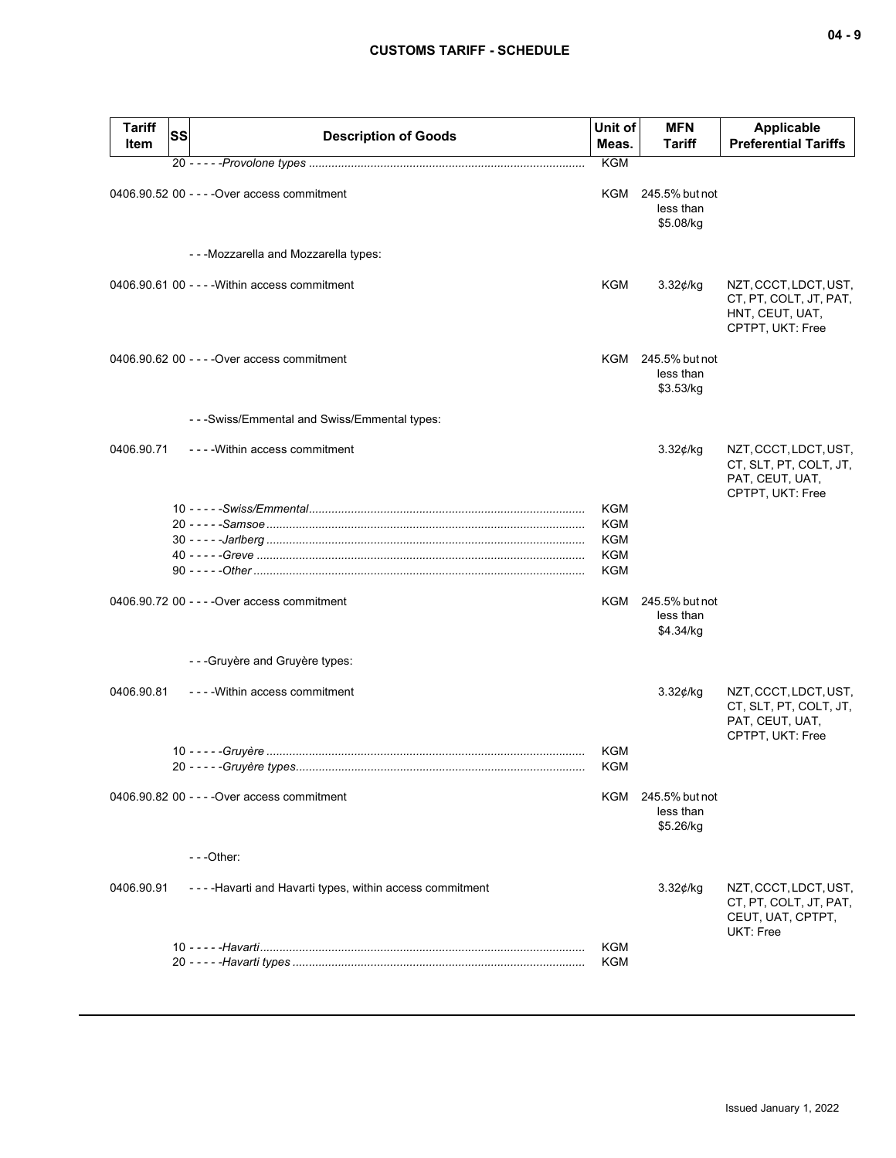| <b>Tariff</b><br>Item | SS | <b>Description of Goods</b>                             | Unit of<br>Meas.         | <b>MFN</b><br>Tariff                         | <b>Applicable</b><br><b>Preferential Tariffs</b>                                       |
|-----------------------|----|---------------------------------------------------------|--------------------------|----------------------------------------------|----------------------------------------------------------------------------------------|
|                       |    |                                                         | <b>KGM</b>               |                                              |                                                                                        |
|                       |    | 0406.90.52 00 - - - - Over access commitment            | KGM                      | 245.5% but not<br>less than<br>\$5.08/kg     |                                                                                        |
|                       |    | - - - Mozzarella and Mozzarella types:                  |                          |                                              |                                                                                        |
|                       |    | 0406.90.61 00 - - - - Within access commitment          | KGM                      | 3.32¢/kg                                     | NZT, CCCT, LDCT, UST,<br>CT, PT, COLT, JT, PAT,<br>HNT, CEUT, UAT,<br>CPTPT, UKT: Free |
|                       |    | 0406.90.62 00 - - - - Over access commitment            |                          | KGM 245.5% but not<br>less than<br>\$3.53/kg |                                                                                        |
|                       |    | - - - Swiss/Emmental and Swiss/Emmental types:          |                          |                                              |                                                                                        |
| 0406.90.71            |    | ----Within access commitment                            |                          | $3.32$ ¢/kg                                  | NZT, CCCT, LDCT, UST,<br>CT, SLT, PT, COLT, JT,<br>PAT, CEUT, UAT,<br>CPTPT, UKT: Free |
|                       |    |                                                         | <b>KGM</b>               |                                              |                                                                                        |
|                       |    |                                                         | <b>KGM</b>               |                                              |                                                                                        |
|                       |    |                                                         | <b>KGM</b>               |                                              |                                                                                        |
|                       |    |                                                         | <b>KGM</b><br><b>KGM</b> |                                              |                                                                                        |
|                       |    |                                                         |                          |                                              |                                                                                        |
|                       |    | 0406.90.72 00 - - - - Over access commitment            |                          | KGM 245.5% but not<br>less than<br>\$4.34/kg |                                                                                        |
|                       |    | ---Gruyère and Gruyère types:                           |                          |                                              |                                                                                        |
| 0406.90.81            |    | ---- Within access commitment                           |                          | $3.32$ ¢/kg                                  | NZT, CCCT, LDCT, UST,<br>CT, SLT, PT, COLT, JT,<br>PAT, CEUT, UAT,<br>CPTPT, UKT: Free |
|                       |    |                                                         | KGM                      |                                              |                                                                                        |
|                       |    |                                                         | KGM                      |                                              |                                                                                        |
|                       |    | 0406.90.82 00 - - - - Over access commitment            |                          | KGM 245.5% but not<br>less than<br>\$5.26/kg |                                                                                        |
|                       |    | $- -$ Other:                                            |                          |                                              |                                                                                        |
| 0406.90.91            |    | ----Havarti and Havarti types, within access commitment |                          | $3.32$ ¢/kg                                  | NZT, CCCT, LDCT, UST,<br>CT, PT, COLT, JT, PAT,<br>CEUT, UAT, CPTPT,<br>UKT: Free      |
|                       |    |                                                         | <b>KGM</b>               |                                              |                                                                                        |
|                       |    |                                                         | <b>KGM</b>               |                                              |                                                                                        |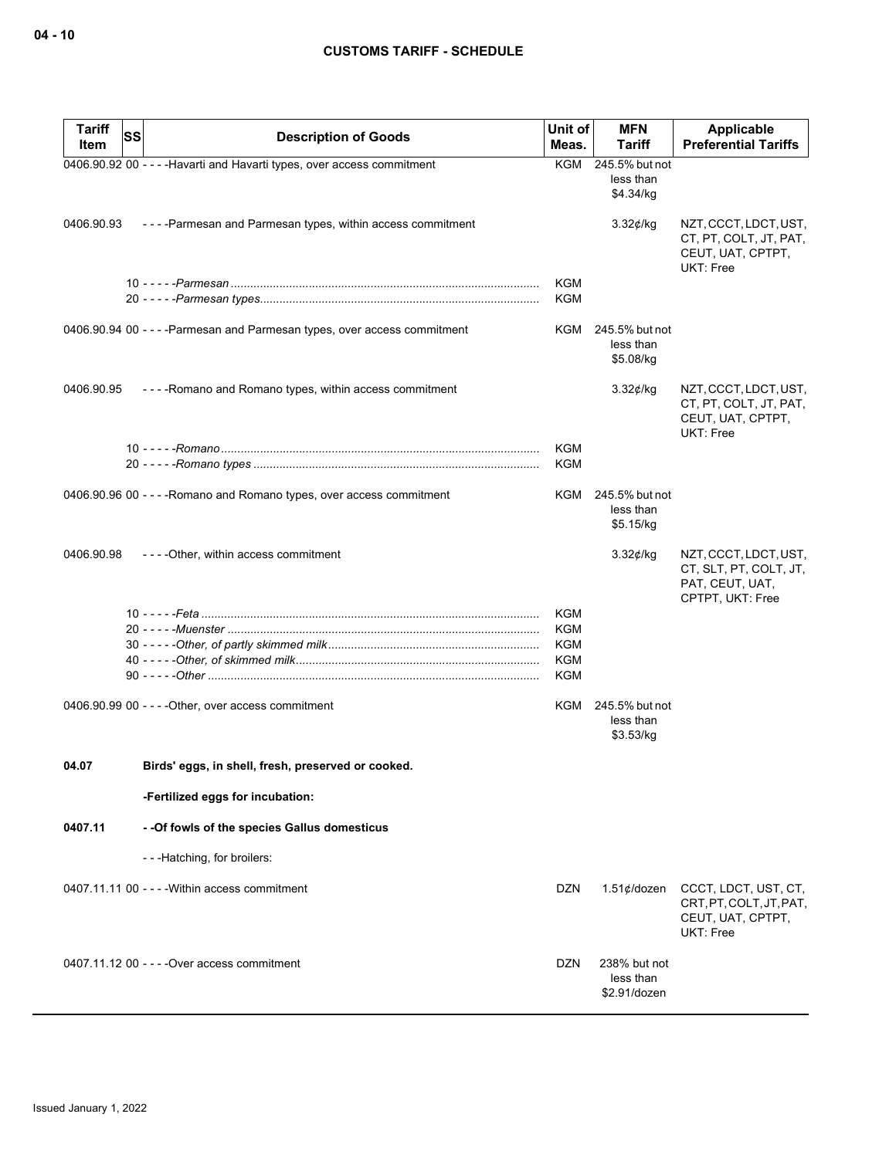| <b>Tariff</b> | SS<br><b>Description of Goods</b>                                         | Unit of<br>Meas. | MFN<br>Tariff                                | Applicable<br><b>Preferential Tariffs</b>                                              |
|---------------|---------------------------------------------------------------------------|------------------|----------------------------------------------|----------------------------------------------------------------------------------------|
| Item          |                                                                           |                  |                                              |                                                                                        |
|               | 0406.90.92 00 - - - - Havarti and Havarti types, over access commitment   |                  | KGM 245.5% but not<br>less than<br>\$4.34/kg |                                                                                        |
| 0406.90.93    | ----Parmesan and Parmesan types, within access commitment                 |                  | $3.32$ ¢/kg                                  | NZT, CCCT, LDCT, UST,<br>CT, PT, COLT, JT, PAT,<br>CEUT, UAT, CPTPT,<br>UKT: Free      |
|               |                                                                           | <b>KGM</b>       |                                              |                                                                                        |
|               |                                                                           | <b>KGM</b>       |                                              |                                                                                        |
|               |                                                                           |                  |                                              |                                                                                        |
|               | 0406.90.94 00 - - - - Parmesan and Parmesan types, over access commitment | KGM              | 245.5% but not<br>less than<br>\$5.08/kg     |                                                                                        |
| 0406.90.95    | ----Romano and Romano types, within access commitment                     |                  | 3.32¢/kg                                     | NZT, CCCT, LDCT, UST,<br>CT, PT, COLT, JT, PAT,<br>CEUT, UAT, CPTPT,<br>UKT: Free      |
|               |                                                                           | <b>KGM</b>       |                                              |                                                                                        |
|               |                                                                           | <b>KGM</b>       |                                              |                                                                                        |
|               | 0406.90.96 00 - - - - Romano and Romano types, over access commitment     | KGM              | 245.5% but not<br>less than<br>\$5.15/kg     |                                                                                        |
| 0406.90.98    | ----Other, within access commitment                                       |                  | $3.32$ ¢/kg                                  | NZT, CCCT, LDCT, UST,<br>CT, SLT, PT, COLT, JT,<br>PAT, CEUT, UAT,<br>CPTPT, UKT: Free |
|               |                                                                           | <b>KGM</b>       |                                              |                                                                                        |
|               |                                                                           | KGM              |                                              |                                                                                        |
|               |                                                                           | KGM              |                                              |                                                                                        |
|               |                                                                           | <b>KGM</b>       |                                              |                                                                                        |
|               |                                                                           | <b>KGM</b>       |                                              |                                                                                        |
|               | $0406.90.99 00 - - -$ - Other, over access commitment                     | KGM              | 245.5% but not<br>less than<br>\$3.53/kg     |                                                                                        |
| 04.07         | Birds' eggs, in shell, fresh, preserved or cooked.                        |                  |                                              |                                                                                        |
|               | -Fertilized eggs for incubation:                                          |                  |                                              |                                                                                        |
| 0407.11       | - - Of fowls of the species Gallus domesticus                             |                  |                                              |                                                                                        |
|               | ---Hatching, for broilers:                                                |                  |                                              |                                                                                        |
|               | $0407.11.1100 - -$ - Within access commitment                             | <b>DZN</b>       | 1.51¢/dozen                                  | CCCT, LDCT, UST, CT,                                                                   |
|               |                                                                           |                  |                                              | CRT, PT, COLT, JT, PAT,<br>CEUT, UAT, CPTPT,<br>UKT: Free                              |
|               | 0407.11.12 00 - - - - Over access commitment                              | DZN              | 238% but not<br>less than<br>\$2.91/dozen    |                                                                                        |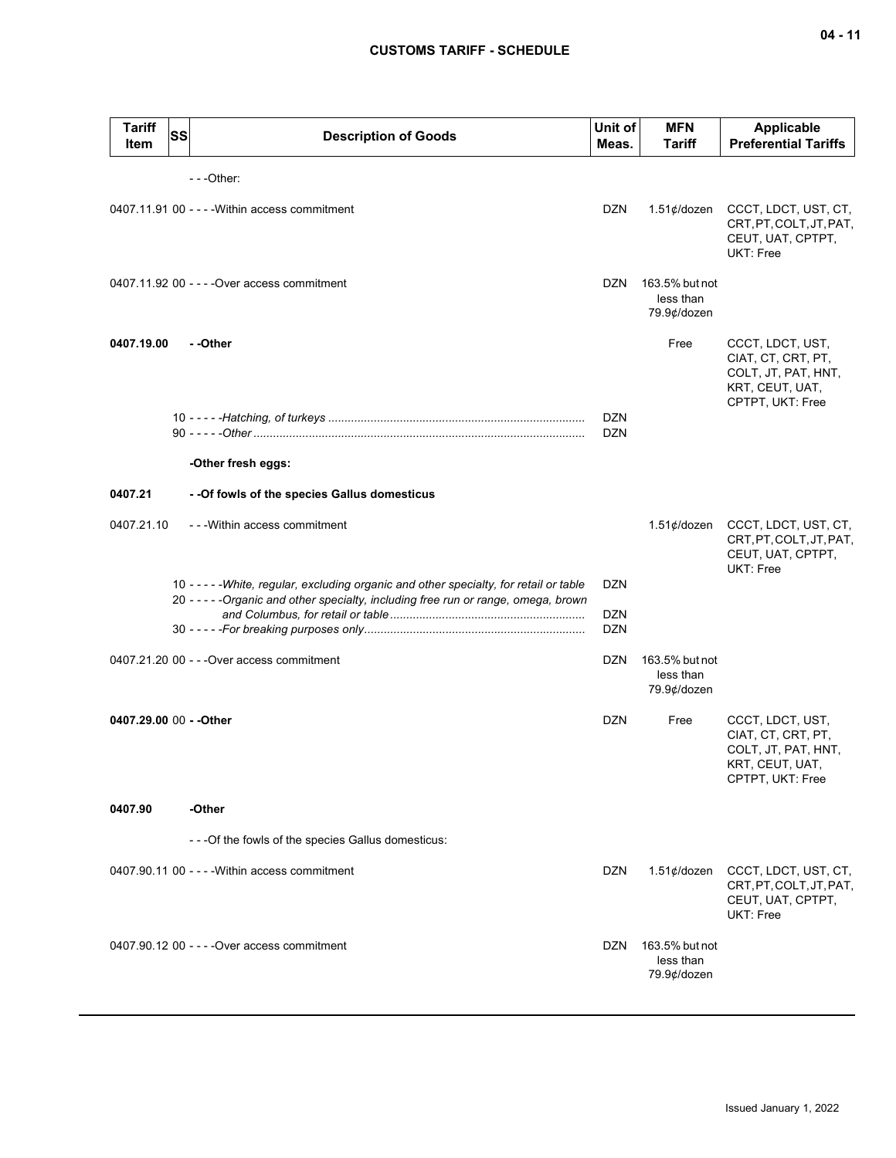| <b>Tariff</b><br><b>Item</b> | SS | <b>Description of Goods</b>                                                                                                                                                    | Unit of<br>Meas.         | <b>MFN</b><br>Tariff                       | <b>Applicable</b><br><b>Preferential Tariffs</b>                                                     |
|------------------------------|----|--------------------------------------------------------------------------------------------------------------------------------------------------------------------------------|--------------------------|--------------------------------------------|------------------------------------------------------------------------------------------------------|
|                              |    | ---Other:                                                                                                                                                                      |                          |                                            |                                                                                                      |
|                              |    | 0407.11.91 00 - - - - Within access commitment                                                                                                                                 | <b>DZN</b>               | $1.51¢$ /dozen                             | CCCT, LDCT, UST, CT,<br>CRT, PT, COLT, JT, PAT,<br>CEUT, UAT, CPTPT,<br>UKT: Free                    |
|                              |    | 0407.11.92 00 - - - - Over access commitment                                                                                                                                   | DZN                      | 163.5% but not<br>less than<br>79.9¢/dozen |                                                                                                      |
| 0407.19.00                   |    | - -Other                                                                                                                                                                       |                          | Free                                       | CCCT, LDCT, UST,<br>CIAT, CT, CRT, PT,<br>COLT, JT, PAT, HNT,<br>KRT, CEUT, UAT,<br>CPTPT, UKT: Free |
|                              |    |                                                                                                                                                                                | <b>DZN</b><br><b>DZN</b> |                                            |                                                                                                      |
|                              |    | -Other fresh eggs:                                                                                                                                                             |                          |                                            |                                                                                                      |
| 0407.21                      |    | - - Of fowls of the species Gallus domesticus                                                                                                                                  |                          |                                            |                                                                                                      |
| 0407.21.10                   |    | - - - Within access commitment                                                                                                                                                 |                          | $1.51¢$ /dozen                             | CCCT, LDCT, UST, CT,<br>CRT, PT, COLT, JT, PAT,<br>CEUT, UAT, CPTPT,<br>UKT: Free                    |
|                              |    | 10 - - - - - White, regular, excluding organic and other specialty, for retail or table<br>20 - - - - - Organic and other specialty, including free run or range, omega, brown | <b>DZN</b><br><b>DZN</b> |                                            |                                                                                                      |
|                              |    |                                                                                                                                                                                | <b>DZN</b>               |                                            |                                                                                                      |
|                              |    | 0407.21.20 00 - - - Over access commitment                                                                                                                                     | DZN                      | 163.5% but not<br>less than<br>79.9¢/dozen |                                                                                                      |
| 0407.29.00 00 - - Other      |    |                                                                                                                                                                                | <b>DZN</b>               | Free                                       | CCCT, LDCT, UST,<br>CIAT, CT, CRT, PT,<br>COLT, JT, PAT, HNT,<br>KRT, CEUT, UAT,<br>CPTPT, UKT: Free |
| 0407.90                      |    | -Other                                                                                                                                                                         |                          |                                            |                                                                                                      |
|                              |    | - - - Of the fowls of the species Gallus domesticus:                                                                                                                           |                          |                                            |                                                                                                      |
|                              |    | 0407.90.11 00 - - - - Within access commitment                                                                                                                                 | DZN                      | $1.51¢$ /dozen                             | CCCT, LDCT, UST, CT,<br>CRT, PT, COLT, JT, PAT,<br>CEUT, UAT, CPTPT,<br>UKT: Free                    |
|                              |    | 0407.90.12 00 - - - - Over access commitment                                                                                                                                   | DZN.                     | 163.5% but not<br>less than<br>79.9¢/dozen |                                                                                                      |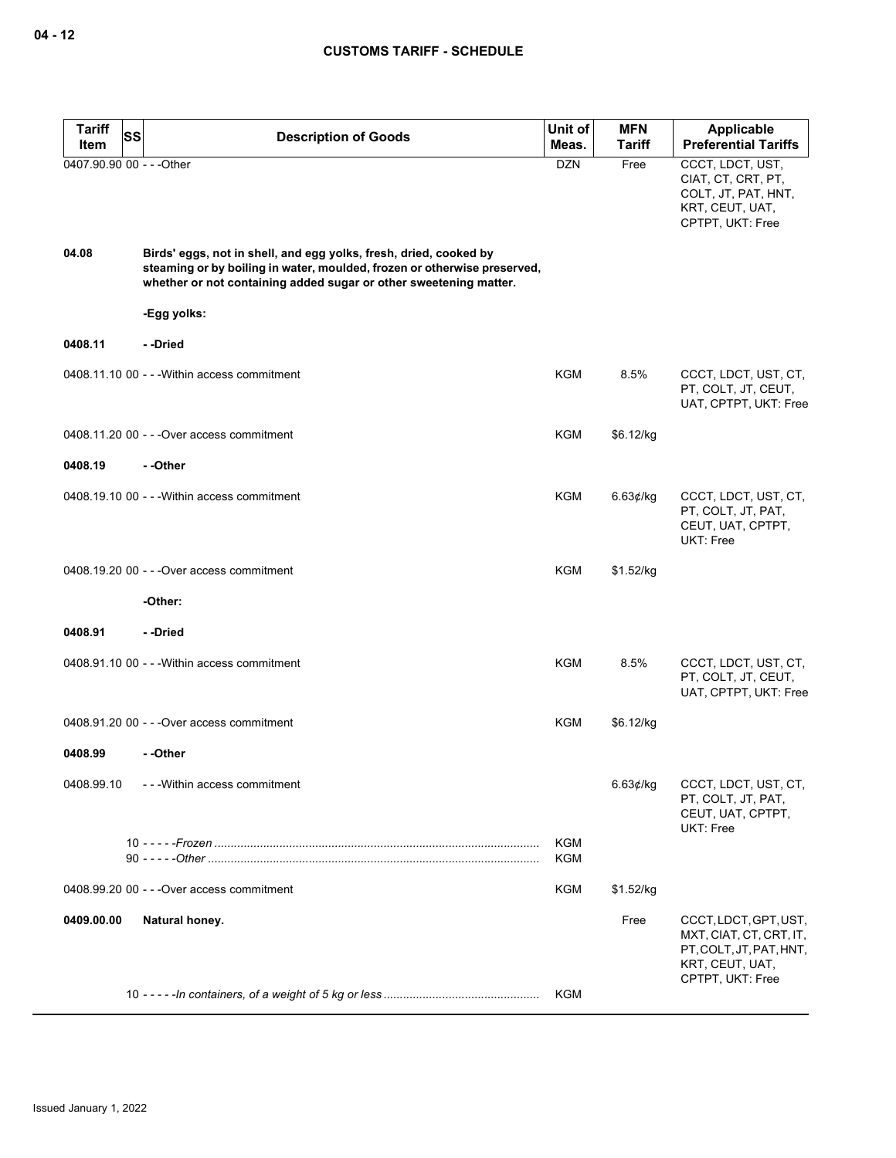| <b>Tariff</b><br>SS       | <b>Description of Goods</b>                                                                                                                                                                                        | Unit of                  | <b>MFN</b>    | <b>Applicable</b>                                                                                    |
|---------------------------|--------------------------------------------------------------------------------------------------------------------------------------------------------------------------------------------------------------------|--------------------------|---------------|------------------------------------------------------------------------------------------------------|
| Item                      |                                                                                                                                                                                                                    | Meas.                    | <b>Tariff</b> | <b>Preferential Tariffs</b>                                                                          |
| 0407.90.90 00 - - - Other |                                                                                                                                                                                                                    | <b>DZN</b>               | Free          | CCCT, LDCT, UST,<br>CIAT, CT, CRT, PT,<br>COLT, JT, PAT, HNT,<br>KRT, CEUT, UAT,<br>CPTPT, UKT: Free |
| 04.08                     | Birds' eggs, not in shell, and egg yolks, fresh, dried, cooked by<br>steaming or by boiling in water, moulded, frozen or otherwise preserved,<br>whether or not containing added sugar or other sweetening matter. |                          |               |                                                                                                      |
|                           | -Egg yolks:                                                                                                                                                                                                        |                          |               |                                                                                                      |
| 0408.11                   | - -Dried                                                                                                                                                                                                           |                          |               |                                                                                                      |
|                           | 0408.11.10 00 - - - Within access commitment                                                                                                                                                                       | KGM                      | 8.5%          | CCCT, LDCT, UST, CT,<br>PT, COLT, JT, CEUT,<br>UAT, CPTPT, UKT: Free                                 |
|                           | 0408.11.20 00 - - - Over access commitment                                                                                                                                                                         | <b>KGM</b>               | \$6.12/kg     |                                                                                                      |
| 0408.19                   | - -Other                                                                                                                                                                                                           |                          |               |                                                                                                      |
|                           | 0408.19.10 00 - - - Within access commitment                                                                                                                                                                       | KGM                      | 6.63 $¢$ /kg  | CCCT, LDCT, UST, CT,<br>PT, COLT, JT, PAT,<br>CEUT, UAT, CPTPT,<br>UKT: Free                         |
|                           | 0408.19.20 00 - - - Over access commitment                                                                                                                                                                         | <b>KGM</b>               | \$1.52/kg     |                                                                                                      |
|                           | -Other:                                                                                                                                                                                                            |                          |               |                                                                                                      |
| 0408.91                   | - -Dried                                                                                                                                                                                                           |                          |               |                                                                                                      |
|                           | 0408.91.10 00 - - - Within access commitment                                                                                                                                                                       | KGM                      | 8.5%          | CCCT, LDCT, UST, CT,<br>PT, COLT, JT, CEUT,<br>UAT, CPTPT, UKT: Free                                 |
|                           | 0408.91.20 00 - - - Over access commitment                                                                                                                                                                         | KGM                      | \$6.12/kg     |                                                                                                      |
| 0408.99                   | - -Other                                                                                                                                                                                                           |                          |               |                                                                                                      |
| 0408.99.10                | - - - Within access commitment                                                                                                                                                                                     |                          | 6.63¢/kg      | CCCT, LDCT, UST, CT,<br>PT, COLT, JT, PAT,<br>CEUT, UAT, CPTPT,<br>UKT: Free                         |
|                           |                                                                                                                                                                                                                    | <b>KGM</b><br><b>KGM</b> |               |                                                                                                      |
|                           | 0408.99.20 00 - - - Over access commitment                                                                                                                                                                         | <b>KGM</b>               | \$1.52/kg     |                                                                                                      |
| 0409.00.00                | Natural honey.                                                                                                                                                                                                     |                          | Free          | CCCT, LDCT, GPT, UST,<br>MXT, CIAT, CT, CRT, IT,                                                     |
|                           |                                                                                                                                                                                                                    |                          |               | PT, COLT, JT, PAT, HNT,<br>KRT, CEUT, UAT,<br>CPTPT, UKT: Free                                       |
|                           |                                                                                                                                                                                                                    | <b>KGM</b>               |               |                                                                                                      |